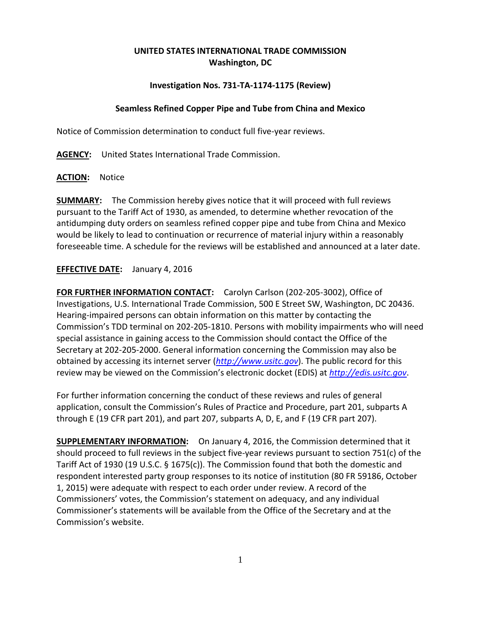# **UNITED STATES INTERNATIONAL TRADE COMMISSION Washington, DC**

## **Investigation Nos. 731-TA-1174-1175 (Review)**

### **Seamless Refined Copper Pipe and Tube from China and Mexico**

Notice of Commission determination to conduct full five-year reviews.

**AGENCY:** United States International Trade Commission.

#### **ACTION:** Notice

**SUMMARY:** The Commission hereby gives notice that it will proceed with full reviews pursuant to the Tariff Act of 1930, as amended, to determine whether revocation of the antidumping duty orders on seamless refined copper pipe and tube from China and Mexico would be likely to lead to continuation or recurrence of material injury within a reasonably foreseeable time. A schedule for the reviews will be established and announced at a later date.

## **EFFECTIVE DATE:** January 4, 2016

**FOR FURTHER INFORMATION CONTACT:** Carolyn Carlson (202-205-3002), Office of Investigations, U.S. International Trade Commission, 500 E Street SW, Washington, DC 20436. Hearing-impaired persons can obtain information on this matter by contacting the Commission's TDD terminal on 202-205-1810. Persons with mobility impairments who will need special assistance in gaining access to the Commission should contact the Office of the Secretary at 202-205-2000. General information concerning the Commission may also be obtained by accessing its internet server (*[http://www.usitc.gov](http://www.usitc.gov/)*). The public record for this review may be viewed on the Commission's electronic docket (EDIS) at *[http://edis.usitc.gov](http://edis.usitc.gov/)*.

For further information concerning the conduct of these reviews and rules of general application, consult the Commission's Rules of Practice and Procedure, part 201, subparts A through E (19 CFR part 201), and part 207, subparts A, D, E, and F (19 CFR part 207).

**SUPPLEMENTARY INFORMATION:** On January 4, 2016, the Commission determined that it should proceed to full reviews in the subject five-year reviews pursuant to section 751(c) of the Tariff Act of 1930 (19 U.S.C. § 1675(c)). The Commission found that both the domestic and respondent interested party group responses to its notice of institution (80 FR 59186, October 1, 2015) were adequate with respect to each order under review. A record of the Commissioners' votes, the Commission's statement on adequacy, and any individual Commissioner's statements will be available from the Office of the Secretary and at the Commission's website.